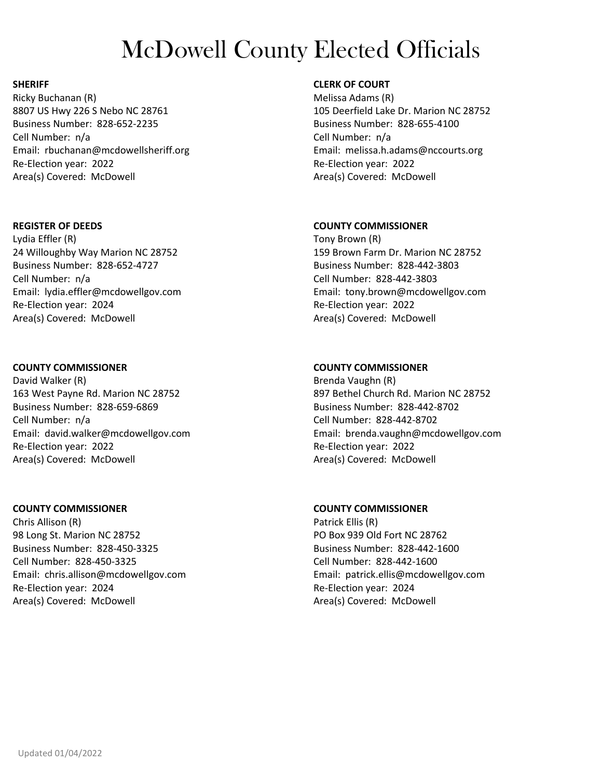#### **SHERIFF**

Ricky Buchanan (R) 8807 US Hwy 226 S Nebo NC 28761 Business Number: 828-652-2235 Cell Number: n/a Email: rbuchanan@mcdowellsheriff.org Re-Election year: 2022 Area(s) Covered: McDowell

### **REGISTER OF DEEDS**

Lydia Effler (R) 24 Willoughby Way Marion NC 28752 Business Number: 828-652-4727 Cell Number: n/a Email: lydia.effler@mcdowellgov.com Re-Election year: 2024 Area(s) Covered: McDowell

## **COUNTY COMMISSIONER**

David Walker (R) 163 West Payne Rd. Marion NC 28752 Business Number: 828-659-6869 Cell Number: n/a Email: david.walker@mcdowellgov.com Re-Election year: 2022 Area(s) Covered: McDowell

### **COUNTY COMMISSIONER**

Chris Allison (R) 98 Long St. Marion NC 28752 Business Number: 828-450-3325 Cell Number: 828-450-3325 Email: chris.allison@mcdowellgov.com Re-Election year: 2024 Area(s) Covered: McDowell

# **CLERK OF COURT**

Melissa Adams (R) 105 Deerfield Lake Dr. Marion NC 28752 Business Number: 828-655-4100 Cell Number: n/a Email: melissa.h.adams@nccourts.org Re-Election year: 2022 Area(s) Covered: McDowell

## **COUNTY COMMISSIONER**

Tony Brown (R) 159 Brown Farm Dr. Marion NC 28752 Business Number: 828-442-3803 Cell Number: 828-442-3803 Email: tony.brown@mcdowellgov.com Re-Election year: 2022 Area(s) Covered: McDowell

# **COUNTY COMMISSIONER**

Brenda Vaughn (R) 897 Bethel Church Rd. Marion NC 28752 Business Number: 828-442-8702 Cell Number: 828-442-8702 Email: brenda.vaughn@mcdowellgov.com Re-Election year: 2022 Area(s) Covered: McDowell

## **COUNTY COMMISSIONER**

Patrick Ellis (R) PO Box 939 Old Fort NC 28762 Business Number: 828-442-1600 Cell Number: 828-442-1600 Email: patrick.ellis@mcdowellgov.com Re-Election year: 2024 Area(s) Covered: McDowell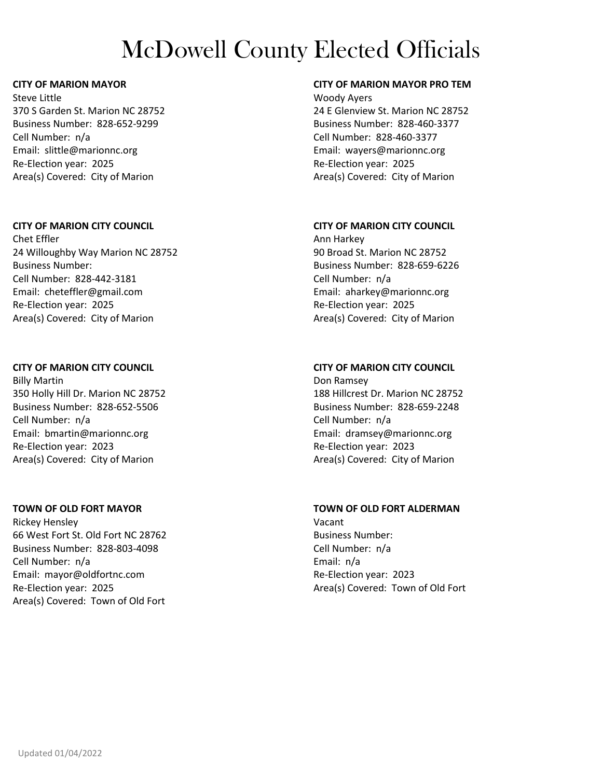### **CITY OF MARION MAYOR**

Steve Little 370 S Garden St. Marion NC 28752 Business Number: 828-652-9299 Cell Number: n/a Email: slittle@marionnc.org Re-Election year: 2025 Area(s) Covered: City of Marion

#### **CITY OF MARION CITY COUNCIL**

Chet Effler 24 Willoughby Way Marion NC 28752 Business Number: Cell Number: 828-442-3181 Email: cheteffler@gmail.com Re-Election year: 2025 Area(s) Covered: City of Marion

#### **CITY OF MARION CITY COUNCIL**

Billy Martin 350 Holly Hill Dr. Marion NC 28752 Business Number: 828-652-5506 Cell Number: n/a Email: bmartin@marionnc.org Re-Election year: 2023 Area(s) Covered: City of Marion

### **TOWN OF OLD FORT MAYOR**

Rickey Hensley 66 West Fort St. Old Fort NC 28762 Business Number: 828-803-4098 Cell Number: n/a Email: mayor@oldfortnc.com Re-Election year: 2025 Area(s) Covered: Town of Old Fort

## **CITY OF MARION MAYOR PRO TEM**

Woody Ayers 24 E Glenview St. Marion NC 28752 Business Number: 828-460-3377 Cell Number: 828-460-3377 Email: wayers@marionnc.org Re-Election year: 2025 Area(s) Covered: City of Marion

### **CITY OF MARION CITY COUNCIL**

Ann Harkey 90 Broad St. Marion NC 28752 Business Number: 828-659-6226 Cell Number: n/a Email: aharkey@marionnc.org Re-Election year: 2025 Area(s) Covered: City of Marion

## **CITY OF MARION CITY COUNCIL**

Don Ramsey 188 Hillcrest Dr. Marion NC 28752 Business Number: 828-659-2248 Cell Number: n/a Email: dramsey@marionnc.org Re-Election year: 2023 Area(s) Covered: City of Marion

### **TOWN OF OLD FORT ALDERMAN**

Vacant Business Number: Cell Number: n/a Email: n/a Re-Election year: 2023 Area(s) Covered: Town of Old Fort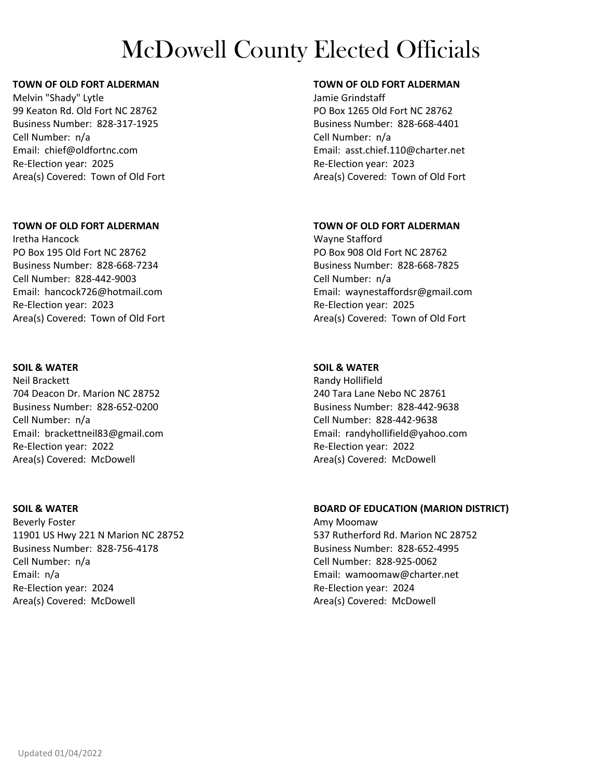#### **TOWN OF OLD FORT ALDERMAN**

Melvin "Shady" Lytle 99 Keaton Rd. Old Fort NC 28762 Business Number: 828-317-1925 Cell Number: n/a Email: chief@oldfortnc.com Re-Election year: 2025 Area(s) Covered: Town of Old Fort

### **TOWN OF OLD FORT ALDERMAN**

Iretha Hancock PO Box 195 Old Fort NC 28762 Business Number: 828-668-7234 Cell Number: 828-442-9003 Email: hancock726@hotmail.com Re-Election year: 2023 Area(s) Covered: Town of Old Fort

## **SOIL & WATER**

Neil Brackett 704 Deacon Dr. Marion NC 28752 Business Number: 828-652-0200 Cell Number: n/a Email: brackettneil83@gmail.com Re-Election year: 2022 Area(s) Covered: McDowell

### **SOIL & WATER**

Beverly Foster 11901 US Hwy 221 N Marion NC 28752 Business Number: 828-756-4178 Cell Number: n/a Email: n/a Re-Election year: 2024 Area(s) Covered: McDowell

# **TOWN OF OLD FORT ALDERMAN**

Jamie Grindstaff PO Box 1265 Old Fort NC 28762 Business Number: 828-668-4401 Cell Number: n/a Email: asst.chief.110@charter.net Re-Election year: 2023 Area(s) Covered: Town of Old Fort

## **TOWN OF OLD FORT ALDERMAN**

Wayne Stafford PO Box 908 Old Fort NC 28762 Business Number: 828-668-7825 Cell Number: n/a Email: waynestaffordsr@gmail.com Re-Election year: 2025 Area(s) Covered: Town of Old Fort

# **SOIL & WATER**

Randy Hollifield 240 Tara Lane Nebo NC 28761 Business Number: 828-442-9638 Cell Number: 828-442-9638 Email: randyhollifield@yahoo.com Re-Election year: 2022 Area(s) Covered: McDowell

### **BOARD OF EDUCATION (MARION DISTRICT)**

Amy Moomaw 537 Rutherford Rd. Marion NC 28752 Business Number: 828-652-4995 Cell Number: 828-925-0062 Email: wamoomaw@charter.net Re-Election year: 2024 Area(s) Covered: McDowell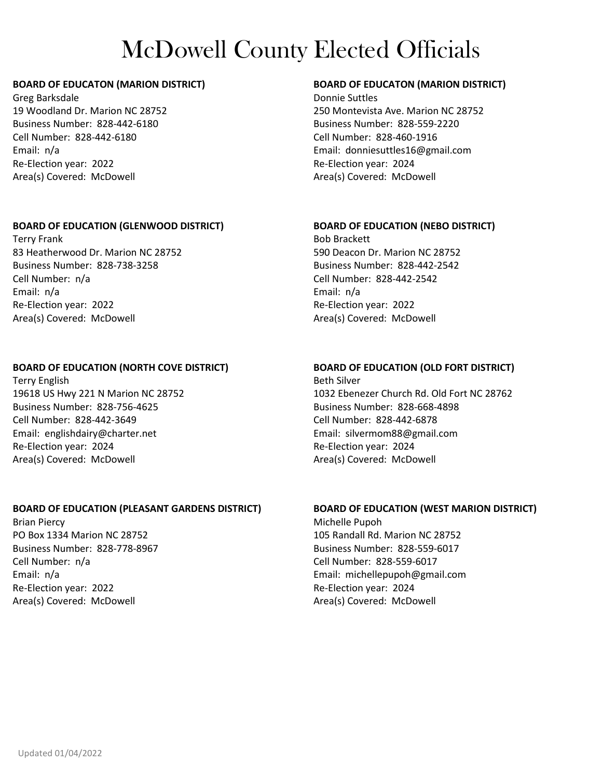## **BOARD OF EDUCATON (MARION DISTRICT)**

Greg Barksdale 19 Woodland Dr. Marion NC 28752 Business Number: 828-442-6180 Cell Number: 828-442-6180 Email: n/a Re-Election year: 2022 Area(s) Covered: McDowell

## **BOARD OF EDUCATION (GLENWOOD DISTRICT)**

Terry Frank 83 Heatherwood Dr. Marion NC 28752 Business Number: 828-738-3258 Cell Number: n/a Email: n/a Re-Election year: 2022 Area(s) Covered: McDowell

## **BOARD OF EDUCATION (NORTH COVE DISTRICT)**

Terry English 19618 US Hwy 221 N Marion NC 28752 Business Number: 828-756-4625 Cell Number: 828-442-3649 Email: englishdairy@charter.net Re-Election year: 2024 Area(s) Covered: McDowell

## **BOARD OF EDUCATION (PLEASANT GARDENS DISTRICT)**

Brian Piercy PO Box 1334 Marion NC 28752 Business Number: 828-778-8967 Cell Number: n/a Email: n/a Re-Election year: 2022 Area(s) Covered: McDowell

## **BOARD OF EDUCATON (MARION DISTRICT)**

Donnie Suttles 250 Montevista Ave. Marion NC 28752 Business Number: 828-559-2220 Cell Number: 828-460-1916 Email: donniesuttles16@gmail.com Re-Election year: 2024 Area(s) Covered: McDowell

## **BOARD OF EDUCATION (NEBO DISTRICT)**

Bob Brackett 590 Deacon Dr. Marion NC 28752 Business Number: 828-442-2542 Cell Number: 828-442-2542 Email: n/a Re-Election year: 2022 Area(s) Covered: McDowell

## **BOARD OF EDUCATION (OLD FORT DISTRICT)**

Beth Silver 1032 Ebenezer Church Rd. Old Fort NC 28762 Business Number: 828-668-4898 Cell Number: 828-442-6878 Email: silvermom88@gmail.com Re-Election year: 2024 Area(s) Covered: McDowell

### **BOARD OF EDUCATION (WEST MARION DISTRICT)**

Michelle Pupoh 105 Randall Rd. Marion NC 28752 Business Number: 828-559-6017 Cell Number: 828-559-6017 Email: michellepupoh@gmail.com Re-Election year: 2024 Area(s) Covered: McDowell